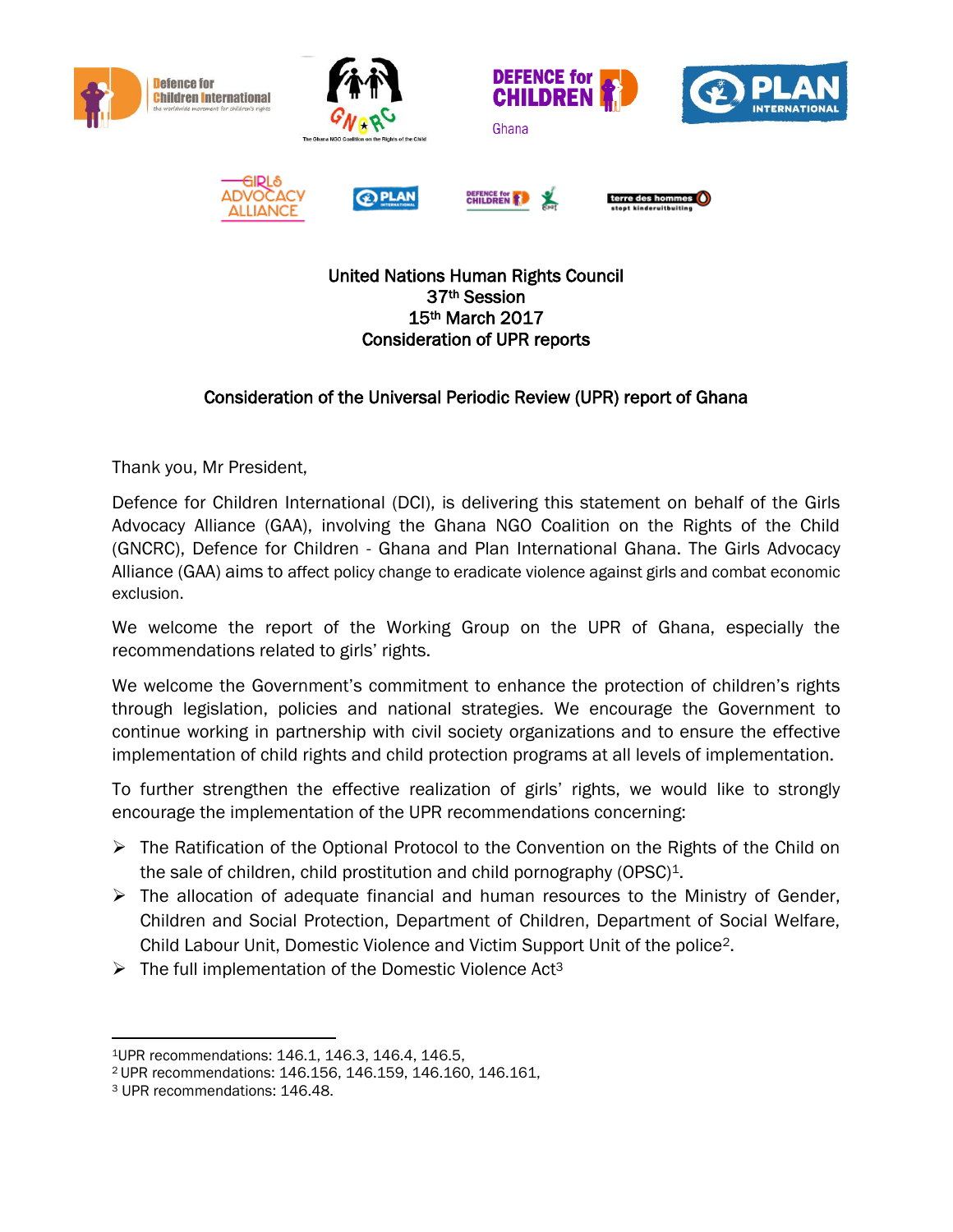

## United Nations Human Rights Council 37th Session 15th March 2017 Consideration of UPR reports

## Consideration of the Universal Periodic Review (UPR) report of Ghana

Thank you, Mr President,

Defence for Children International (DCI), is delivering this statement on behalf of the Girls Advocacy Alliance (GAA), involving the Ghana NGO Coalition on the Rights of the Child (GNCRC), Defence for Children - Ghana and Plan International Ghana. The Girls Advocacy Alliance (GAA) aims to affect policy change to eradicate violence against girls and combat economic exclusion.

We welcome the report of the Working Group on the UPR of Ghana, especially the recommendations related to girls' rights.

We welcome the Government's commitment to enhance the protection of children's rights through legislation, policies and national strategies. We encourage the Government to continue working in partnership with civil society organizations and to ensure the effective implementation of child rights and child protection programs at all levels of implementation.

To further strengthen the effective realization of girls' rights, we would like to strongly encourage the implementation of the UPR recommendations concerning:

- ➢ The Ratification of the Optional Protocol to the Convention on the Rights of the Child on the sale of children, child prostitution and child pornography (OPSC)<sup>1</sup>.
- $\triangleright$  The allocation of adequate financial and human resources to the Ministry of Gender, Children and Social Protection, Department of Children, Department of Social Welfare, Child Labour Unit, Domestic Violence and Victim Support Unit of the police2.
- $\triangleright$  The full implementation of the Domestic Violence Act<sup>3</sup>

 $\overline{a}$ 

<sup>1</sup>UPR recommendations: 146.1, 146.3, 146.4, 146.5,

<sup>2</sup> UPR recommendations: 146.156, 146.159, 146.160, 146.161,

<sup>3</sup> UPR recommendations: 146.48.